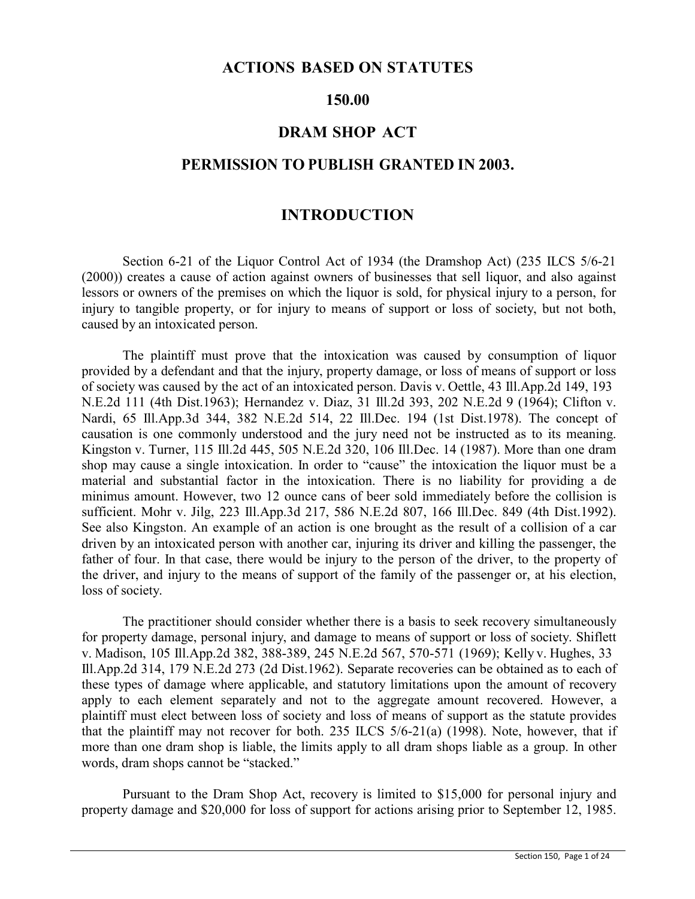# **ACTIONS BASED ON STATUTES**

## **150.00**

# **DRAM SHOP ACT**

# **PERMISSION TO PUBLISH GRANTED IN 2003.**

## **INTRODUCTION**

Section 6-21 of the Liquor Control Act of 1934 (the Dramshop Act) (235 ILCS 5/6-21 (2000)) creates a cause of action against owners of businesses that sell liquor, and also against lessors or owners of the premises on which the liquor is sold, for physical injury to a person, for injury to tangible property, or for injury to means of support or loss of society, but not both, caused by an intoxicated person.

The plaintiff must prove that the intoxication was caused by consumption of liquor provided by a defendant and that the injury, property damage, or loss of means of support or loss of society was caused by the act of an intoxicated person. Davis v. Oettle, 43 Ill.App.2d 149, 193 N.E.2d 111 (4th Dist.1963); Hernandez v. Diaz, 31 Ill.2d 393, 202 N.E.2d 9 (1964); Clifton v. Nardi, 65 Ill.App.3d 344, 382 N.E.2d 514, 22 Ill.Dec. 194 (1st Dist.1978). The concept of causation is one commonly understood and the jury need not be instructed as to its meaning. Kingston v. Turner, 115 Ill.2d 445, 505 N.E.2d 320, 106 Ill.Dec. 14 (1987). More than one dram shop may cause a single intoxication. In order to "cause" the intoxication the liquor must be a material and substantial factor in the intoxication. There is no liability for providing a de minimus amount. However, two 12 ounce cans of beer sold immediately before the collision is sufficient. Mohr v. Jilg, 223 Ill.App.3d 217, 586 N.E.2d 807, 166 Ill.Dec. 849 (4th Dist.1992). See also Kingston. An example of an action is one brought as the result of a collision of a car driven by an intoxicated person with another car, injuring its driver and killing the passenger, the father of four. In that case, there would be injury to the person of the driver, to the property of the driver, and injury to the means of support of the family of the passenger or, at his election, loss of society.

The practitioner should consider whether there is a basis to seek recovery simultaneously for property damage, personal injury, and damage to means of support or loss of society. Shiflett v. Madison, 105 Ill.App.2d 382, 388-389, 245 N.E.2d 567, 570-571 (1969); Kelly v. Hughes, 33 Ill.App.2d 314, 179 N.E.2d 273 (2d Dist.1962). Separate recoveries can be obtained as to each of these types of damage where applicable, and statutory limitations upon the amount of recovery apply to each element separately and not to the aggregate amount recovered. However, a plaintiff must elect between loss of society and loss of means of support as the statute provides that the plaintiff may not recover for both. 235 ILCS 5/6-21(a) (1998). Note, however, that if more than one dram shop is liable, the limits apply to all dram shops liable as a group. In other words, dram shops cannot be "stacked."

Pursuant to the Dram Shop Act, recovery is limited to \$15,000 for personal injury and property damage and \$20,000 for loss of support for actions arising prior to September 12, 1985.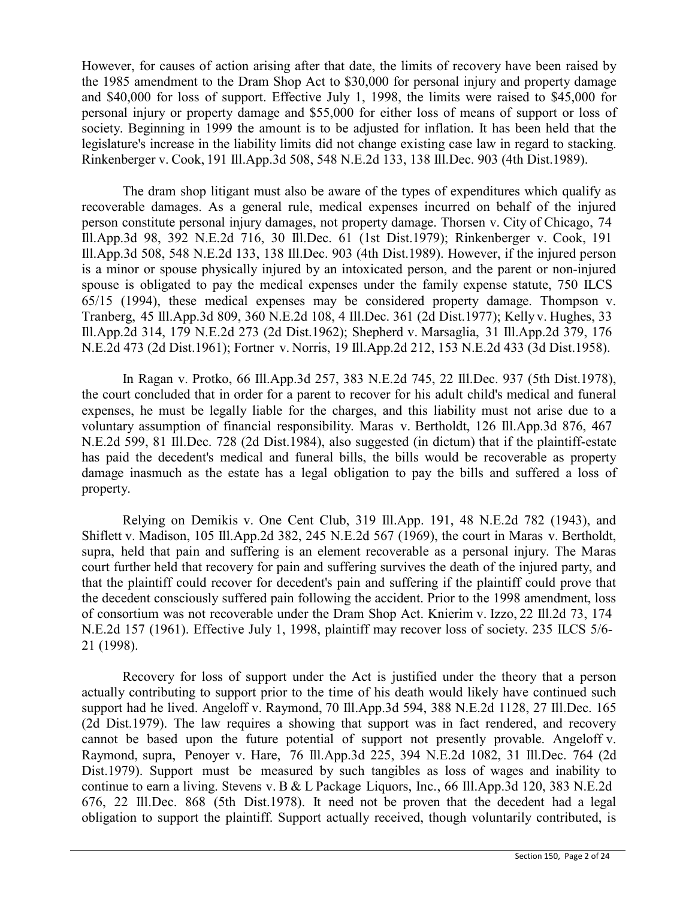However, for causes of action arising after that date, the limits of recovery have been raised by the 1985 amendment to the Dram Shop Act to \$30,000 for personal injury and property damage and \$40,000 for loss of support. Effective July 1, 1998, the limits were raised to \$45,000 for personal injury or property damage and \$55,000 for either loss of means of support or loss of society. Beginning in 1999 the amount is to be adjusted for inflation. It has been held that the legislature's increase in the liability limits did not change existing case law in regard to stacking. Rinkenberger v. Cook, 191 Ill.App.3d 508, 548 N.E.2d 133, 138 Ill.Dec. 903 (4th Dist.1989).

The dram shop litigant must also be aware of the types of expenditures which qualify as recoverable damages. As a general rule, medical expenses incurred on behalf of the injured person constitute personal injury damages, not property damage. Thorsen v. City of Chicago, 74 Ill.App.3d 98, 392 N.E.2d 716, 30 Ill.Dec. 61 (1st Dist.1979); Rinkenberger v. Cook, 191 Ill.App.3d 508, 548 N.E.2d 133, 138 Ill.Dec. 903 (4th Dist.1989). However, if the injured person is a minor or spouse physically injured by an intoxicated person, and the parent or non-injured spouse is obligated to pay the medical expenses under the family expense statute, 750 ILCS 65/15 (1994), these medical expenses may be considered property damage. Thompson v. Tranberg, 45 Ill.App.3d 809, 360 N.E.2d 108, 4 Ill.Dec. 361 (2d Dist.1977); Kelly v. Hughes, 33 Ill.App.2d 314, 179 N.E.2d 273 (2d Dist.1962); Shepherd v. Marsaglia, 31 Ill.App.2d 379, 176 N.E.2d 473 (2d Dist.1961); Fortner v. Norris, 19 Ill.App.2d 212, 153 N.E.2d 433 (3d Dist.1958).

In Ragan v. Protko, 66 Ill.App.3d 257, 383 N.E.2d 745, 22 Ill.Dec. 937 (5th Dist.1978), the court concluded that in order for a parent to recover for his adult child's medical and funeral expenses, he must be legally liable for the charges, and this liability must not arise due to a voluntary assumption of financial responsibility. Maras v. Bertholdt, 126 Ill.App.3d 876, 467 N.E.2d 599, 81 Ill.Dec. 728 (2d Dist.1984), also suggested (in dictum) that if the plaintiff-estate has paid the decedent's medical and funeral bills, the bills would be recoverable as property damage inasmuch as the estate has a legal obligation to pay the bills and suffered a loss of property.

Relying on Demikis v. One Cent Club, 319 Ill.App. 191, 48 N.E.2d 782 (1943), and Shiflett v. Madison, 105 Ill.App.2d 382, 245 N.E.2d 567 (1969), the court in Maras v. Bertholdt, supra, held that pain and suffering is an element recoverable as a personal injury. The Maras court further held that recovery for pain and suffering survives the death of the injured party, and that the plaintiff could recover for decedent's pain and suffering if the plaintiff could prove that the decedent consciously suffered pain following the accident. Prior to the 1998 amendment, loss of consortium was not recoverable under the Dram Shop Act. Knierim v. Izzo, 22 Ill.2d 73, 174 N.E.2d 157 (1961). Effective July 1, 1998, plaintiff may recover loss of society. 235 ILCS 5/6- 21 (1998).

Recovery for loss of support under the Act is justified under the theory that a person actually contributing to support prior to the time of his death would likely have continued such support had he lived. Angeloff v. Raymond, 70 Ill.App.3d 594, 388 N.E.2d 1128, 27 Ill.Dec. 165 (2d Dist.1979). The law requires a showing that support was in fact rendered, and recovery cannot be based upon the future potential of support not presently provable. Angeloff v. Raymond, supra, Penoyer v. Hare, 76 Ill.App.3d 225, 394 N.E.2d 1082, 31 Ill.Dec. 764 (2d Dist.1979). Support must be measured by such tangibles as loss of wages and inability to continue to earn a living. Stevens v. B & L Package Liquors, Inc., 66 Ill.App.3d 120, 383 N.E.2d 676, 22 Ill.Dec. 868 (5th Dist.1978). It need not be proven that the decedent had a legal obligation to support the plaintiff. Support actually received, though voluntarily contributed, is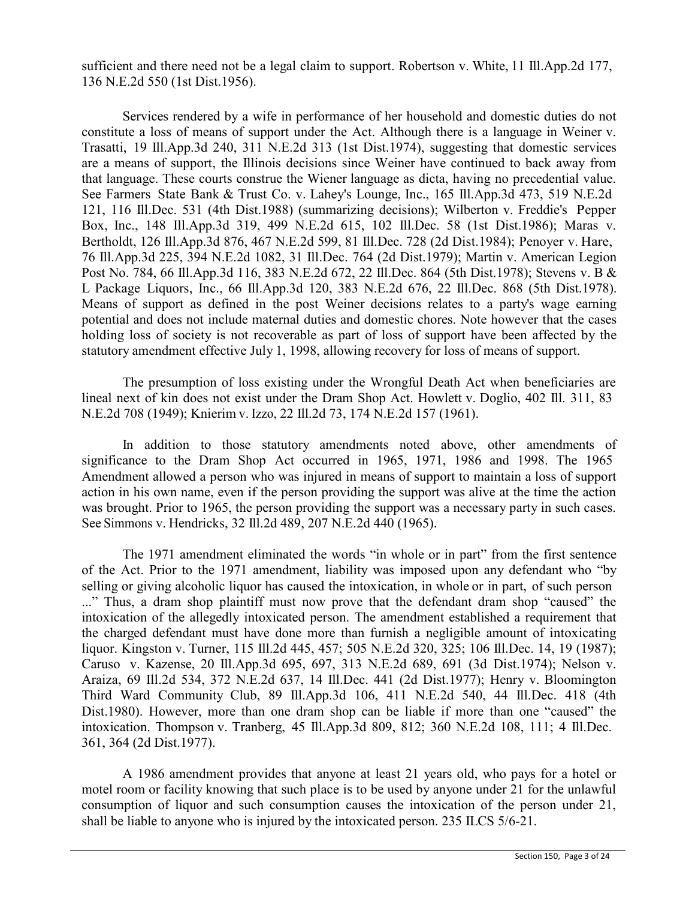sufficient and there need not be a legal claim to support. Robertson v. White, 11 Ill.App.2d 177, 136 N.E.2d 550 (1st Dist.1956).

Services rendered by a wife in performance of her household and domestic duties do not constitute a loss of means of support under the Act. Although there is a language in Weiner v. Trasatti, 19 Ill.App.3d 240, 311 N.E.2d 313 (1st Dist.1974), suggesting that domestic services are a means of support, the Illinois decisions since Weiner have continued to back away from that language. These courts construe the Wiener language as dicta, having no precedential value. See Farmers State Bank & Trust Co. v. Lahey's Lounge, Inc., 165 Ill.App.3d 473, 519 N.E.2d 121, 116 Ill.Dec. 531 (4th Dist.1988) (summarizing decisions); Wilberton v. Freddie's Pepper Box, Inc., 148 Ill.App.3d 319, 499 N.E.2d 615, 102 Ill.Dec. 58 (1st Dist.1986); Maras v. Bertholdt, 126 Ill.App.3d 876, 467 N.E.2d 599, 81 Ill.Dec. 728 (2d Dist.1984); Penoyer v. Hare, 76 Ill.App.3d 225, 394 N.E.2d 1082, 31 Ill.Dec. 764 (2d Dist.1979); Martin v. American Legion Post No. 784, 66 Ill.App.3d 116, 383 N.E.2d 672, 22 Ill.Dec. 864 (5th Dist.1978); Stevens v. B & L Package Liquors, Inc., 66 Ill.App.3d 120, 383 N.E.2d 676, 22 Ill.Dec. 868 (5th Dist.1978). Means of support as defined in the post Weiner decisions relates to a party's wage earning potential and does not include maternal duties and domestic chores. Note however that the cases holding loss of society is not recoverable as part of loss of support have been affected by the statutory amendment effective July 1, 1998, allowing recovery for loss of means of support.

The presumption of loss existing under the Wrongful Death Act when beneficiaries are lineal next of kin does not exist under the Dram Shop Act. Howlett v. Doglio, 402 Ill. 311, 83 N.E.2d 708 (1949); Knierim v. Izzo, 22 Ill.2d 73, 174 N.E.2d 157 (1961).

In addition to those statutory amendments noted above, other amendments of significance to the Dram Shop Act occurred in 1965, 1971, 1986 and 1998. The 1965 Amendment allowed a person who was injured in means of support to maintain a loss of support action in his own name, even if the person providing the support was alive at the time the action was brought. Prior to 1965, the person providing the support was a necessary party in such cases. See Simmons v. Hendricks, 32 Ill.2d 489, 207 N.E.2d 440 (1965).

The 1971 amendment eliminated the words "in whole or in part" from the first sentence of the Act. Prior to the 1971 amendment, liability was imposed upon any defendant who "by selling or giving alcoholic liquor has caused the intoxication, in whole or in part, of such person ..." Thus, a dram shop plaintiff must now prove that the defendant dram shop "caused" the intoxication of the allegedly intoxicated person. The amendment established a requirement that the charged defendant must have done more than furnish a negligible amount of intoxicating liquor. Kingston v. Turner, 115 Ill.2d 445, 457; 505 N.E.2d 320, 325; 106 Ill.Dec. 14, 19 (1987); Caruso v. Kazense, 20 Ill.App.3d 695, 697, 313 N.E.2d 689, 691 (3d Dist.1974); Nelson v. Araiza, 69 Ill.2d 534, 372 N.E.2d 637, 14 Ill.Dec. 441 (2d Dist.1977); Henry v. Bloomington Third Ward Community Club, 89 Ill.App.3d 106, 411 N.E.2d 540, 44 Ill.Dec. 418 (4th Dist.1980). However, more than one dram shop can be liable if more than one "caused" the intoxication. Thompson v. Tranberg, 45 Ill.App.3d 809, 812; 360 N.E.2d 108, 111; 4 Ill.Dec. 361, 364 (2d Dist.1977).

A 1986 amendment provides that anyone at least 21 years old, who pays for a hotel or motel room or facility knowing that such place is to be used by anyone under 21 for the unlawful consumption of liquor and such consumption causes the intoxication of the person under 21, shall be liable to anyone who is injured by the intoxicated person. 235 ILCS 5/6-21.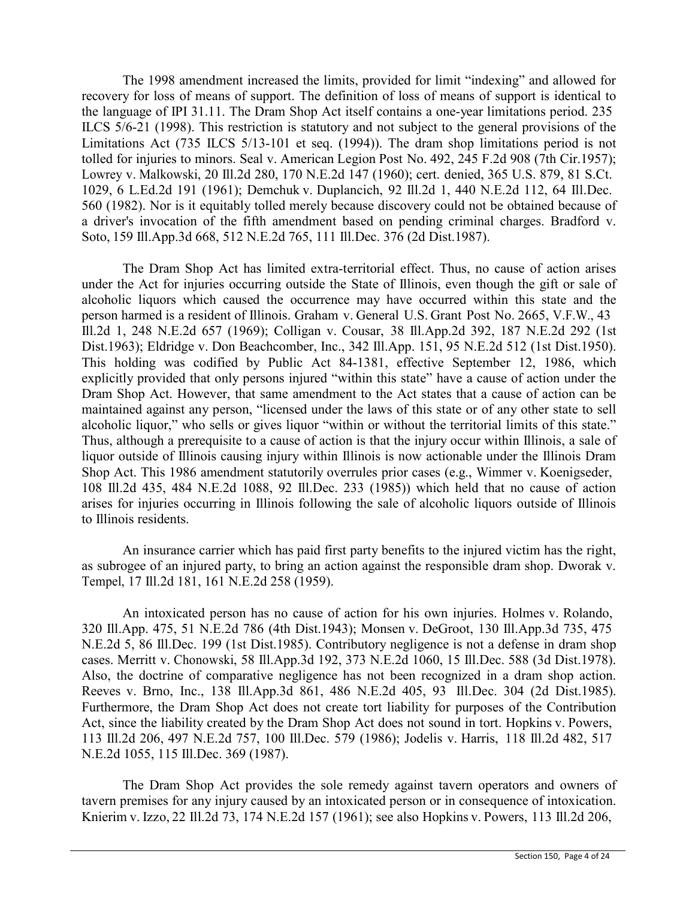The 1998 amendment increased the limits, provided for limit "indexing" and allowed for recovery for loss of means of support. The definition of loss of means of support is identical to the language of IPI 31.11. The Dram Shop Act itself contains a one-year limitations period. 235 ILCS 5/6-21 (1998). This restriction is statutory and not subject to the general provisions of the Limitations Act (735 ILCS 5/13-101 et seq. (1994)). The dram shop limitations period is not tolled for injuries to minors. Seal v. American Legion Post No. 492, 245 F.2d 908 (7th Cir.1957); Lowrey v. Malkowski, 20 Ill.2d 280, 170 N.E.2d 147 (1960); cert. denied, 365 U.S. 879, 81 S.Ct. 1029, 6 L.Ed.2d 191 (1961); Demchuk v. Duplancich, 92 Ill.2d 1, 440 N.E.2d 112, 64 Ill.Dec. 560 (1982). Nor is it equitably tolled merely because discovery could not be obtained because of a driver's invocation of the fifth amendment based on pending criminal charges. Bradford v. Soto, 159 Ill.App.3d 668, 512 N.E.2d 765, 111 Ill.Dec. 376 (2d Dist.1987).

The Dram Shop Act has limited extra-territorial effect. Thus, no cause of action arises under the Act for injuries occurring outside the State of Illinois, even though the gift or sale of alcoholic liquors which caused the occurrence may have occurred within this state and the person harmed is a resident of Illinois. Graham v. General U.S. Grant Post No. 2665, V.F.W., 43 Ill.2d 1, 248 N.E.2d 657 (1969); Colligan v. Cousar, 38 Ill.App.2d 392, 187 N.E.2d 292 (1st Dist.1963); Eldridge v. Don Beachcomber, Inc., 342 Ill.App. 151, 95 N.E.2d 512 (1st Dist.1950). This holding was codified by Public Act 84-1381, effective September 12, 1986, which explicitly provided that only persons injured "within this state" have a cause of action under the Dram Shop Act. However, that same amendment to the Act states that a cause of action can be maintained against any person, "licensed under the laws of this state or of any other state to sell alcoholic liquor," who sells or gives liquor "within or without the territorial limits of this state." Thus, although a prerequisite to a cause of action is that the injury occur within Illinois, a sale of liquor outside of Illinois causing injury within Illinois is now actionable under the Illinois Dram Shop Act. This 1986 amendment statutorily overrules prior cases (e.g., Wimmer v. Koenigseder, 108 Ill.2d 435, 484 N.E.2d 1088, 92 Ill.Dec. 233 (1985)) which held that no cause of action arises for injuries occurring in Illinois following the sale of alcoholic liquors outside of Illinois to Illinois residents.

An insurance carrier which has paid first party benefits to the injured victim has the right, as subrogee of an injured party, to bring an action against the responsible dram shop. Dworak v. Tempel, 17 Ill.2d 181, 161 N.E.2d 258 (1959).

An intoxicated person has no cause of action for his own injuries. Holmes v. Rolando, 320 Ill.App. 475, 51 N.E.2d 786 (4th Dist.1943); Monsen v. DeGroot, 130 Ill.App.3d 735, 475 N.E.2d 5, 86 Ill.Dec. 199 (1st Dist.1985). Contributory negligence is not a defense in dram shop cases. Merritt v. Chonowski, 58 Ill.App.3d 192, 373 N.E.2d 1060, 15 Ill.Dec. 588 (3d Dist.1978). Also, the doctrine of comparative negligence has not been recognized in a dram shop action. Reeves v. Brno, Inc., 138 Ill.App.3d 861, 486 N.E.2d 405, 93 Ill.Dec. 304 (2d Dist.1985). Furthermore, the Dram Shop Act does not create tort liability for purposes of the Contribution Act, since the liability created by the Dram Shop Act does not sound in tort. Hopkins v. Powers, 113 Ill.2d 206, 497 N.E.2d 757, 100 Ill.Dec. 579 (1986); Jodelis v. Harris, 118 Ill.2d 482, 517 N.E.2d 1055, 115 Ill.Dec. 369 (1987).

The Dram Shop Act provides the sole remedy against tavern operators and owners of tavern premises for any injury caused by an intoxicated person or in consequence of intoxication. Knierim v. Izzo, 22 Ill.2d 73, 174 N.E.2d 157 (1961); see also Hopkins v. Powers, 113 Ill.2d 206,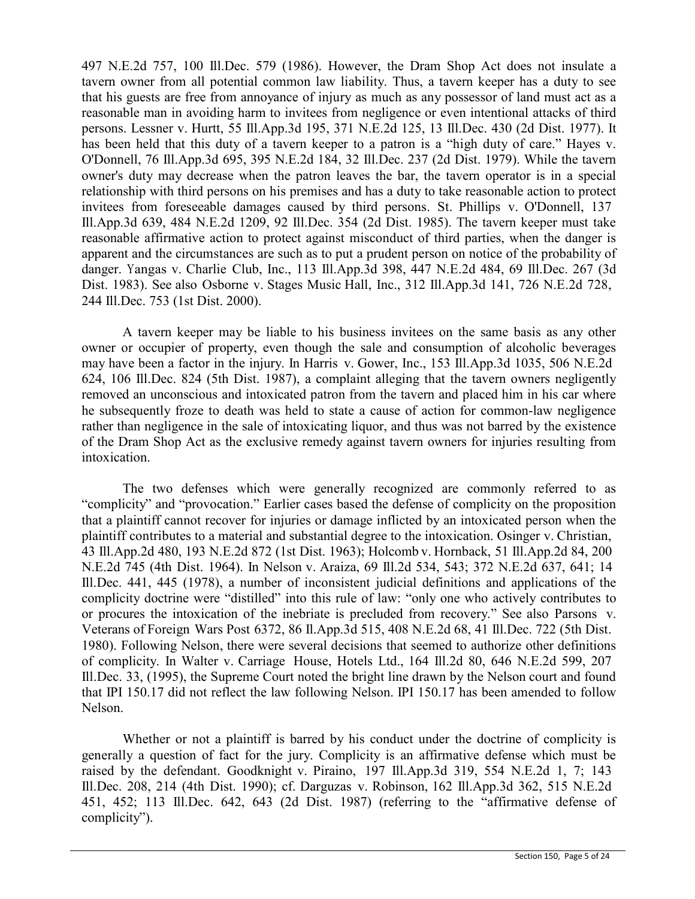497 N.E.2d 757, 100 Ill.Dec. 579 (1986). However, the Dram Shop Act does not insulate a tavern owner from all potential common law liability. Thus, a tavern keeper has a duty to see that his guests are free from annoyance of injury as much as any possessor of land must act as a reasonable man in avoiding harm to invitees from negligence or even intentional attacks of third persons. Lessner v. Hurtt, 55 Ill.App.3d 195, 371 N.E.2d 125, 13 Ill.Dec. 430 (2d Dist. 1977). It has been held that this duty of a tavern keeper to a patron is a "high duty of care." Hayes v. O'Donnell, 76 Ill.App.3d 695, 395 N.E.2d 184, 32 Ill.Dec. 237 (2d Dist. 1979). While the tavern owner's duty may decrease when the patron leaves the bar, the tavern operator is in a special relationship with third persons on his premises and has a duty to take reasonable action to protect invitees from foreseeable damages caused by third persons. St. Phillips v. O'Donnell, 137 Ill.App.3d 639, 484 N.E.2d 1209, 92 Ill.Dec. 354 (2d Dist. 1985). The tavern keeper must take reasonable affirmative action to protect against misconduct of third parties, when the danger is apparent and the circumstances are such as to put a prudent person on notice of the probability of danger. Yangas v. Charlie Club, Inc., 113 Ill.App.3d 398, 447 N.E.2d 484, 69 Ill.Dec. 267 (3d Dist. 1983). See also Osborne v. Stages Music Hall, Inc., 312 Ill.App.3d 141, 726 N.E.2d 728, 244 Ill.Dec. 753 (1st Dist. 2000).

A tavern keeper may be liable to his business invitees on the same basis as any other owner or occupier of property, even though the sale and consumption of alcoholic beverages may have been a factor in the injury. In Harris v. Gower, Inc., 153 Ill.App.3d 1035, 506 N.E.2d 624, 106 Ill.Dec. 824 (5th Dist. 1987), a complaint alleging that the tavern owners negligently removed an unconscious and intoxicated patron from the tavern and placed him in his car where he subsequently froze to death was held to state a cause of action for common-law negligence rather than negligence in the sale of intoxicating liquor, and thus was not barred by the existence of the Dram Shop Act as the exclusive remedy against tavern owners for injuries resulting from intoxication.

The two defenses which were generally recognized are commonly referred to as "complicity" and "provocation." Earlier cases based the defense of complicity on the proposition that a plaintiff cannot recover for injuries or damage inflicted by an intoxicated person when the plaintiff contributes to a material and substantial degree to the intoxication. Osinger v. Christian, 43 Ill.App.2d 480, 193 N.E.2d 872 (1st Dist. 1963); Holcomb v. Hornback, 51 Ill.App.2d 84, 200 N.E.2d 745 (4th Dist. 1964). In Nelson v. Araiza, 69 Ill.2d 534, 543; 372 N.E.2d 637, 641; 14 Ill.Dec. 441, 445 (1978), a number of inconsistent judicial definitions and applications of the complicity doctrine were "distilled" into this rule of law: "only one who actively contributes to or procures the intoxication of the inebriate is precluded from recovery." See also Parsons v. Veterans of Foreign Wars Post 6372, 86 Il.App.3d 515, 408 N.E.2d 68, 41 Ill.Dec. 722 (5th Dist. 1980). Following Nelson, there were several decisions that seemed to authorize other definitions of complicity. In Walter v. Carriage House, Hotels Ltd., 164 Ill.2d 80, 646 N.E.2d 599, 207 Ill.Dec. 33, (1995), the Supreme Court noted the bright line drawn by the Nelson court and found that IPI 150.17 did not reflect the law following Nelson. IPI 150.17 has been amended to follow Nelson.

Whether or not a plaintiff is barred by his conduct under the doctrine of complicity is generally a question of fact for the jury. Complicity is an affirmative defense which must be raised by the defendant. Goodknight v. Piraino, 197 Ill.App.3d 319, 554 N.E.2d 1, 7; 143 Ill.Dec. 208, 214 (4th Dist. 1990); cf. Darguzas v. Robinson, 162 Ill.App.3d 362, 515 N.E.2d 451, 452; 113 Ill.Dec. 642, 643 (2d Dist. 1987) (referring to the "affirmative defense of complicity").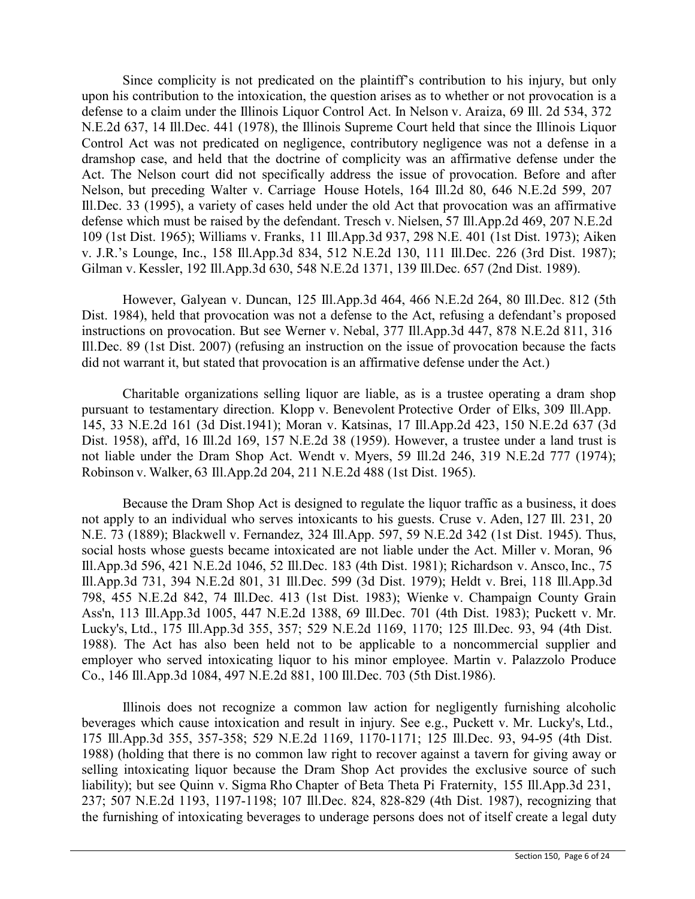Since complicity is not predicated on the plaintiff's contribution to his injury, but only upon his contribution to the intoxication, the question arises as to whether or not provocation is a defense to a claim under the Illinois Liquor Control Act. In Nelson v. Araiza, 69 Ill. 2d 534, 372 N.E.2d 637, 14 Ill.Dec. 441 (1978), the Illinois Supreme Court held that since the Illinois Liquor Control Act was not predicated on negligence, contributory negligence was not a defense in a dramshop case, and held that the doctrine of complicity was an affirmative defense under the Act. The Nelson court did not specifically address the issue of provocation. Before and after Nelson, but preceding Walter v. Carriage House Hotels, 164 Ill.2d 80, 646 N.E.2d 599, 207 Ill.Dec. 33 (1995), a variety of cases held under the old Act that provocation was an affirmative defense which must be raised by the defendant. Tresch v. Nielsen, 57 Ill.App.2d 469, 207 N.E.2d 109 (1st Dist. 1965); Williams v. Franks, 11 Ill.App.3d 937, 298 N.E. 401 (1st Dist. 1973); Aiken v. J.R.'s Lounge, Inc., 158 Ill.App.3d 834, 512 N.E.2d 130, 111 Ill.Dec. 226 (3rd Dist. 1987); Gilman v. Kessler, 192 Ill.App.3d 630, 548 N.E.2d 1371, 139 Ill.Dec. 657 (2nd Dist. 1989).

However, Galyean v. Duncan, 125 Ill.App.3d 464, 466 N.E.2d 264, 80 Ill.Dec. 812 (5th Dist. 1984), held that provocation was not a defense to the Act, refusing a defendant's proposed instructions on provocation. But see Werner v. Nebal, 377 Ill.App.3d 447, 878 N.E.2d 811, 316 Ill.Dec. 89 (1st Dist. 2007) (refusing an instruction on the issue of provocation because the facts did not warrant it, but stated that provocation is an affirmative defense under the Act.)

Charitable organizations selling liquor are liable, as is a trustee operating a dram shop pursuant to testamentary direction. Klopp v. Benevolent Protective Order of Elks, 309 Ill.App. 145, 33 N.E.2d 161 (3d Dist.1941); Moran v. Katsinas, 17 Ill.App.2d 423, 150 N.E.2d 637 (3d Dist. 1958), aff'd, 16 Ill.2d 169, 157 N.E.2d 38 (1959). However, a trustee under a land trust is not liable under the Dram Shop Act. Wendt v. Myers, 59 Ill.2d 246, 319 N.E.2d 777 (1974); Robinson v. Walker, 63 Ill.App.2d 204, 211 N.E.2d 488 (1st Dist. 1965).

Because the Dram Shop Act is designed to regulate the liquor traffic as a business, it does not apply to an individual who serves intoxicants to his guests. Cruse v. Aden, 127 Ill. 231, 20 N.E. 73 (1889); Blackwell v. Fernandez, 324 Ill.App. 597, 59 N.E.2d 342 (1st Dist. 1945). Thus, social hosts whose guests became intoxicated are not liable under the Act. Miller v. Moran, 96 Ill.App.3d 596, 421 N.E.2d 1046, 52 Ill.Dec. 183 (4th Dist. 1981); Richardson v. Ansco, Inc., 75 Ill.App.3d 731, 394 N.E.2d 801, 31 Ill.Dec. 599 (3d Dist. 1979); Heldt v. Brei, 118 Ill.App.3d 798, 455 N.E.2d 842, 74 Ill.Dec. 413 (1st Dist. 1983); Wienke v. Champaign County Grain Ass'n, 113 Ill.App.3d 1005, 447 N.E.2d 1388, 69 Ill.Dec. 701 (4th Dist. 1983); Puckett v. Mr. Lucky's, Ltd., 175 Ill.App.3d 355, 357; 529 N.E.2d 1169, 1170; 125 Ill.Dec. 93, 94 (4th Dist. 1988). The Act has also been held not to be applicable to a noncommercial supplier and employer who served intoxicating liquor to his minor employee. Martin v. Palazzolo Produce Co., 146 Ill.App.3d 1084, 497 N.E.2d 881, 100 Ill.Dec. 703 (5th Dist.1986).

Illinois does not recognize a common law action for negligently furnishing alcoholic beverages which cause intoxication and result in injury. See e.g., Puckett v. Mr. Lucky's, Ltd., 175 Ill.App.3d 355, 357-358; 529 N.E.2d 1169, 1170-1171; 125 Ill.Dec. 93, 94-95 (4th Dist. 1988) (holding that there is no common law right to recover against a tavern for giving away or selling intoxicating liquor because the Dram Shop Act provides the exclusive source of such liability); but see Quinn v. Sigma Rho Chapter of Beta Theta Pi Fraternity, 155 Ill.App.3d 231, 237; 507 N.E.2d 1193, 1197-1198; 107 Ill.Dec. 824, 828-829 (4th Dist. 1987), recognizing that the furnishing of intoxicating beverages to underage persons does not of itself create a legal duty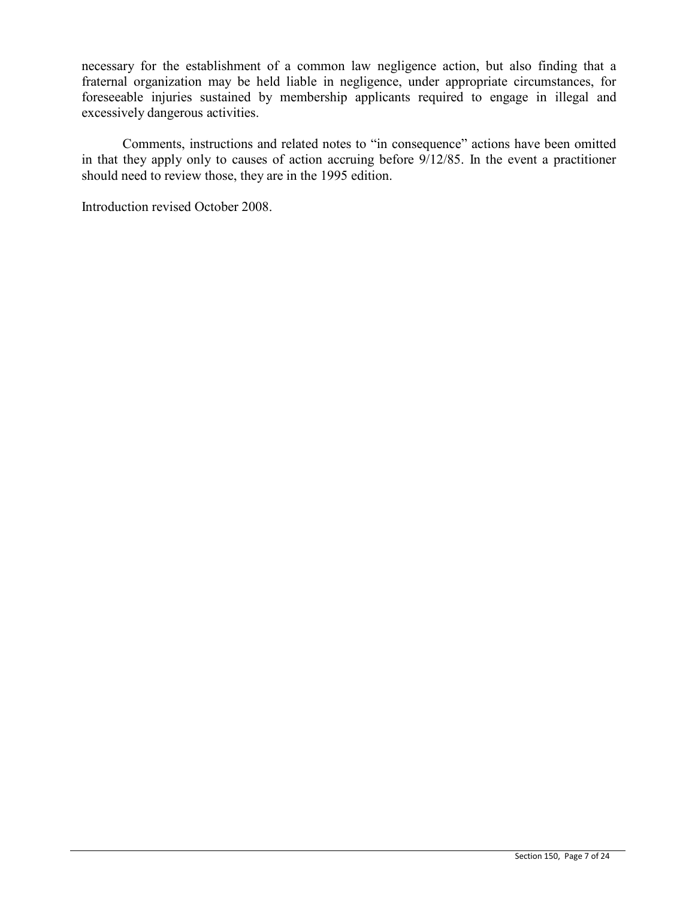necessary for the establishment of a common law negligence action, but also finding that a fraternal organization may be held liable in negligence, under appropriate circumstances, for foreseeable injuries sustained by membership applicants required to engage in illegal and excessively dangerous activities.

Comments, instructions and related notes to "in consequence" actions have been omitted in that they apply only to causes of action accruing before 9/12/85. In the event a practitioner should need to review those, they are in the 1995 edition.

Introduction revised October 2008.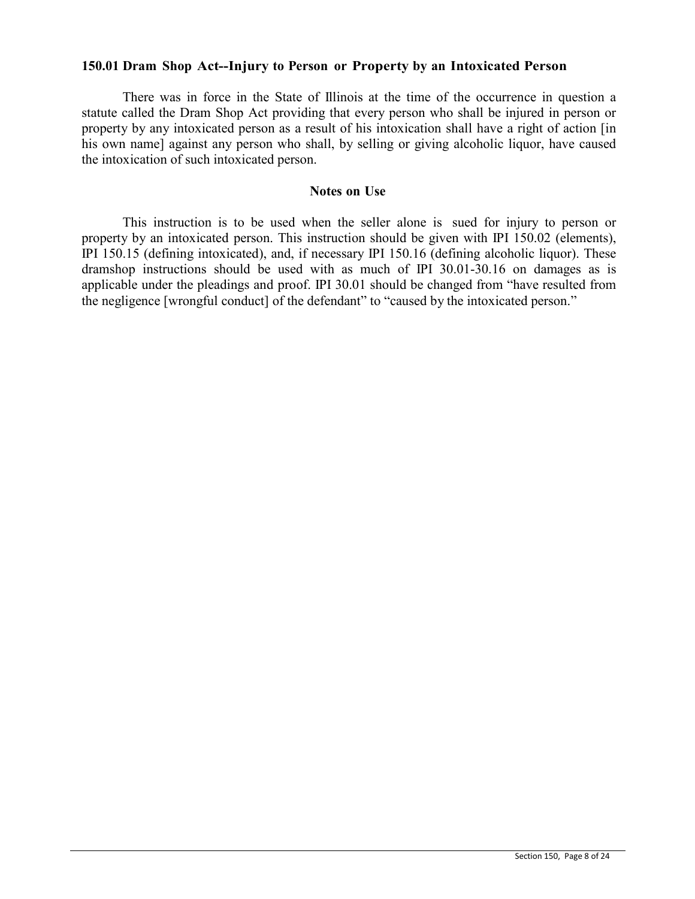#### **150.01 Dram Shop Act--Injury to Person or Property by an Intoxicated Person**

There was in force in the State of Illinois at the time of the occurrence in question a statute called the Dram Shop Act providing that every person who shall be injured in person or property by any intoxicated person as a result of his intoxication shall have a right of action [in his own name] against any person who shall, by selling or giving alcoholic liquor, have caused the intoxication of such intoxicated person.

#### **Notes on Use**

This instruction is to be used when the seller alone is sued for injury to person or property by an intoxicated person. This instruction should be given with IPI 150.02 (elements), IPI 150.15 (defining intoxicated), and, if necessary IPI 150.16 (defining alcoholic liquor). These dramshop instructions should be used with as much of IPI 30.01-30.16 on damages as is applicable under the pleadings and proof. IPI 30.01 should be changed from "have resulted from the negligence [wrongful conduct] of the defendant" to "caused by the intoxicated person."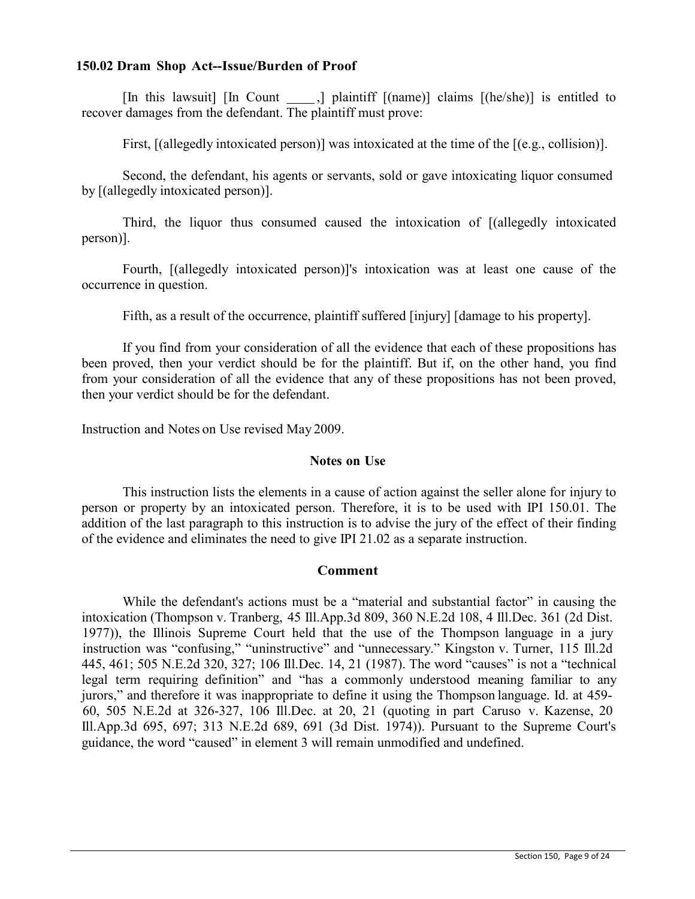#### **150.02 Dram Shop Act--Issue/Burden of Proof**

[In this lawsuit] [In Count ,] plaintiff [(name)] claims [(he/she)] is entitled to recover damages from the defendant. The plaintiff must prove:

First, [(allegedly intoxicated person)] was intoxicated at the time of the [(e.g., collision)].

Second, the defendant, his agents or servants, sold or gave intoxicating liquor consumed by [(allegedly intoxicated person)].

Third, the liquor thus consumed caused the intoxication of [(allegedly intoxicated person)].

Fourth, [(allegedly intoxicated person)]'s intoxication was at least one cause of the occurrence in question.

Fifth, as a result of the occurrence, plaintiff suffered [injury] [damage to his property].

If you find from your consideration of all the evidence that each of these propositions has been proved, then your verdict should be for the plaintiff. But if, on the other hand, you find from your consideration of all the evidence that any of these propositions has not been proved, then your verdict should be for the defendant.

Instruction and Notes on Use revised May 2009.

## **Notes on Use**

This instruction lists the elements in a cause of action against the seller alone for injury to person or property by an intoxicated person. Therefore, it is to be used with IPI 150.01. The addition of the last paragraph to this instruction is to advise the jury of the effect of their finding of the evidence and eliminates the need to give IPI 21.02 as a separate instruction.

## **Comment**

While the defendant's actions must be a "material and substantial factor" in causing the intoxication (Thompson v. Tranberg, 45 Ill.App.3d 809, 360 N.E.2d 108, 4 Ill.Dec. 361 (2d Dist. 1977)), the Illinois Supreme Court held that the use of the Thompson language in a jury instruction was "confusing," "uninstructive" and "unnecessary." Kingston v. Turner, 115 Ill.2d 445, 461; 505 N.E.2d 320, 327; 106 Ill.Dec. 14, 21 (1987). The word "causes" is not a "technical legal term requiring definition" and "has a commonly understood meaning familiar to any jurors," and therefore it was inappropriate to define it using the Thompson language. Id. at 459- 60, 505 N.E.2d at 326-327, 106 Ill.Dec. at 20, 21 (quoting in part Caruso v. Kazense, 20 Ill.App.3d 695, 697; 313 N.E.2d 689, 691 (3d Dist. 1974)). Pursuant to the Supreme Court's guidance, the word "caused" in element 3 will remain unmodified and undefined.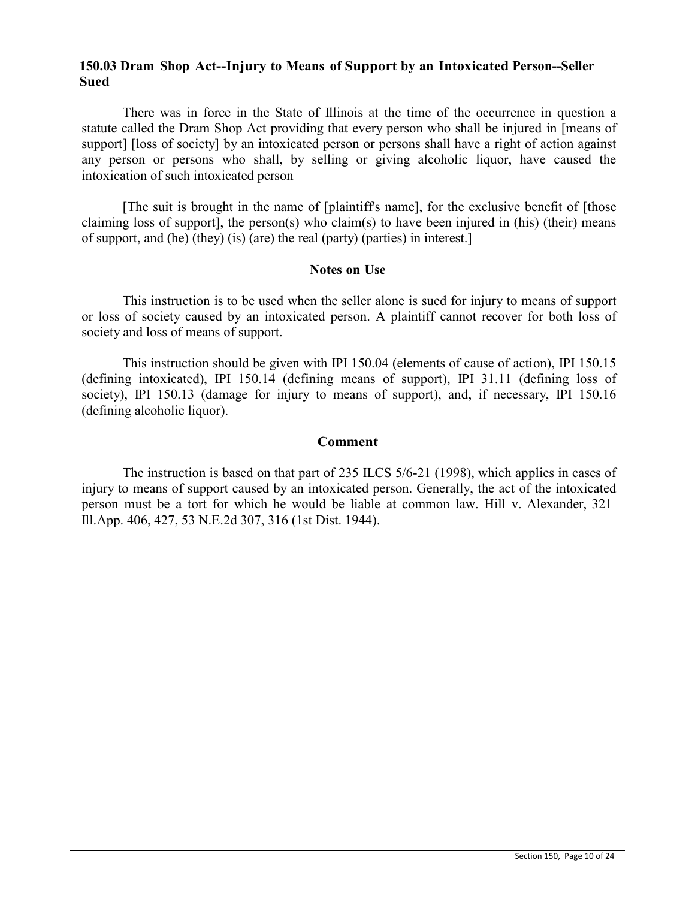## **150.03 Dram Shop Act--Injury to Means of Support by an Intoxicated Person--Seller Sued**

There was in force in the State of Illinois at the time of the occurrence in question a statute called the Dram Shop Act providing that every person who shall be injured in [means of support] [loss of society] by an intoxicated person or persons shall have a right of action against any person or persons who shall, by selling or giving alcoholic liquor, have caused the intoxication of such intoxicated person

[The suit is brought in the name of [plaintiff's name], for the exclusive benefit of [those claiming loss of support], the person(s) who claim(s) to have been injured in (his) (their) means of support, and (he) (they) (is) (are) the real (party) (parties) in interest.]

#### **Notes on Use**

This instruction is to be used when the seller alone is sued for injury to means of support or loss of society caused by an intoxicated person. A plaintiff cannot recover for both loss of society and loss of means of support.

This instruction should be given with IPI 150.04 (elements of cause of action), IPI 150.15 (defining intoxicated), IPI 150.14 (defining means of support), IPI 31.11 (defining loss of society), IPI 150.13 (damage for injury to means of support), and, if necessary, IPI 150.16 (defining alcoholic liquor).

#### **Comment**

The instruction is based on that part of 235 ILCS 5/6-21 (1998), which applies in cases of injury to means of support caused by an intoxicated person. Generally, the act of the intoxicated person must be a tort for which he would be liable at common law. Hill v. Alexander, 321 Ill.App. 406, 427, 53 N.E.2d 307, 316 (1st Dist. 1944).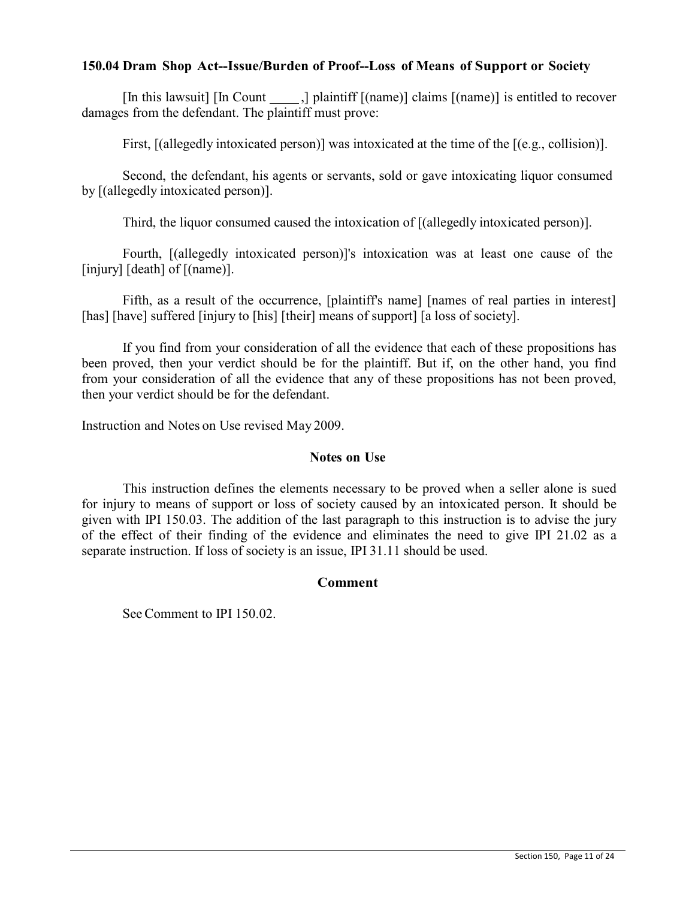## **150.04 Dram Shop Act--Issue/Burden of Proof--Loss of Means of Support or Society**

[In this lawsuit] [In Count ,] plaintiff [(name)] claims [(name)] is entitled to recover damages from the defendant. The plaintiff must prove:

First, [(allegedly intoxicated person)] was intoxicated at the time of the [(e.g., collision)].

Second, the defendant, his agents or servants, sold or gave intoxicating liquor consumed by [(allegedly intoxicated person)].

Third, the liquor consumed caused the intoxication of [(allegedly intoxicated person)].

Fourth, [(allegedly intoxicated person)]'s intoxication was at least one cause of the [injury] [death] of [(name)].

Fifth, as a result of the occurrence, [plaintiff's name] [names of real parties in interest] [has] [have] suffered [injury to [his] [their] means of support] [a loss of society].

If you find from your consideration of all the evidence that each of these propositions has been proved, then your verdict should be for the plaintiff. But if, on the other hand, you find from your consideration of all the evidence that any of these propositions has not been proved, then your verdict should be for the defendant.

Instruction and Notes on Use revised May 2009.

## **Notes on Use**

This instruction defines the elements necessary to be proved when a seller alone is sued for injury to means of support or loss of society caused by an intoxicated person. It should be given with IPI 150.03. The addition of the last paragraph to this instruction is to advise the jury of the effect of their finding of the evidence and eliminates the need to give IPI 21.02 as a separate instruction. If loss of society is an issue, IPI 31.11 should be used.

## **Comment**

See Comment to IPI 150.02.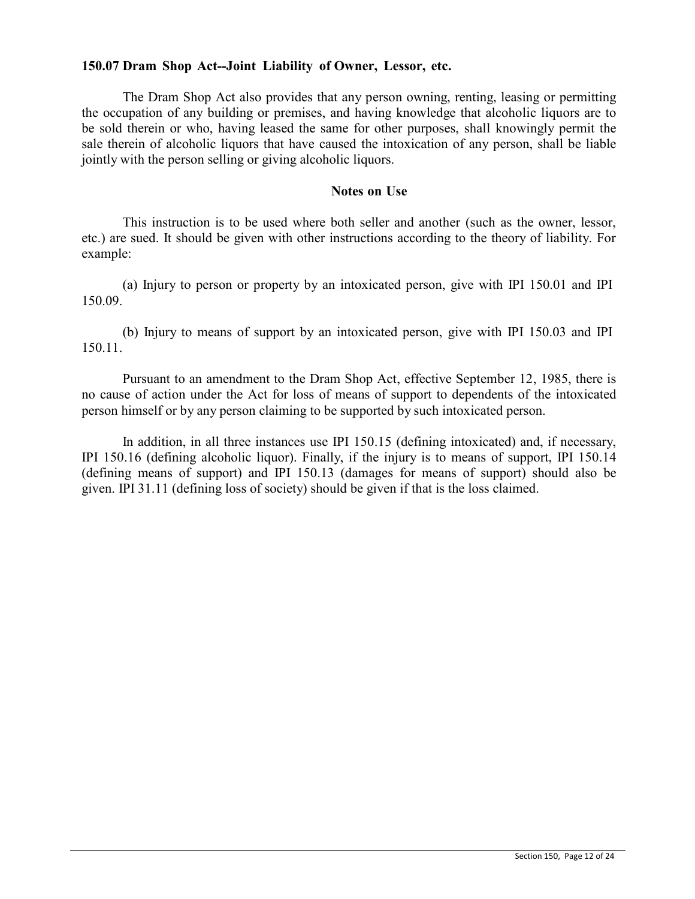## **150.07 Dram Shop Act--Joint Liability of Owner, Lessor, etc.**

The Dram Shop Act also provides that any person owning, renting, leasing or permitting the occupation of any building or premises, and having knowledge that alcoholic liquors are to be sold therein or who, having leased the same for other purposes, shall knowingly permit the sale therein of alcoholic liquors that have caused the intoxication of any person, shall be liable jointly with the person selling or giving alcoholic liquors.

#### **Notes on Use**

This instruction is to be used where both seller and another (such as the owner, lessor, etc.) are sued. It should be given with other instructions according to the theory of liability. For example:

(a) Injury to person or property by an intoxicated person, give with IPI 150.01 and IPI 150.09.

(b) Injury to means of support by an intoxicated person, give with IPI 150.03 and IPI 150.11.

Pursuant to an amendment to the Dram Shop Act, effective September 12, 1985, there is no cause of action under the Act for loss of means of support to dependents of the intoxicated person himself or by any person claiming to be supported by such intoxicated person.

In addition, in all three instances use IPI 150.15 (defining intoxicated) and, if necessary, IPI 150.16 (defining alcoholic liquor). Finally, if the injury is to means of support, IPI 150.14 (defining means of support) and IPI 150.13 (damages for means of support) should also be given. IPI 31.11 (defining loss of society) should be given if that is the loss claimed.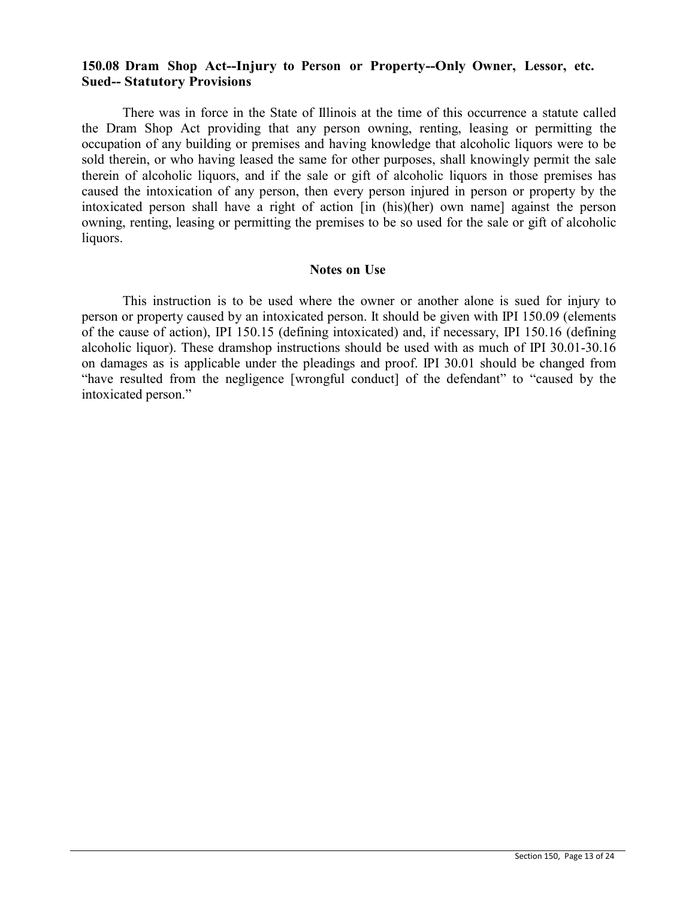## **150.08 Dram Shop Act--Injury to Person or Property--Only Owner, Lessor, etc. Sued-- Statutory Provisions**

There was in force in the State of Illinois at the time of this occurrence a statute called the Dram Shop Act providing that any person owning, renting, leasing or permitting the occupation of any building or premises and having knowledge that alcoholic liquors were to be sold therein, or who having leased the same for other purposes, shall knowingly permit the sale therein of alcoholic liquors, and if the sale or gift of alcoholic liquors in those premises has caused the intoxication of any person, then every person injured in person or property by the intoxicated person shall have a right of action [in (his)(her) own name] against the person owning, renting, leasing or permitting the premises to be so used for the sale or gift of alcoholic liquors.

#### **Notes on Use**

This instruction is to be used where the owner or another alone is sued for injury to person or property caused by an intoxicated person. It should be given with IPI 150.09 (elements of the cause of action), IPI 150.15 (defining intoxicated) and, if necessary, IPI 150.16 (defining alcoholic liquor). These dramshop instructions should be used with as much of IPI 30.01-30.16 on damages as is applicable under the pleadings and proof. IPI 30.01 should be changed from "have resulted from the negligence [wrongful conduct] of the defendant" to "caused by the intoxicated person."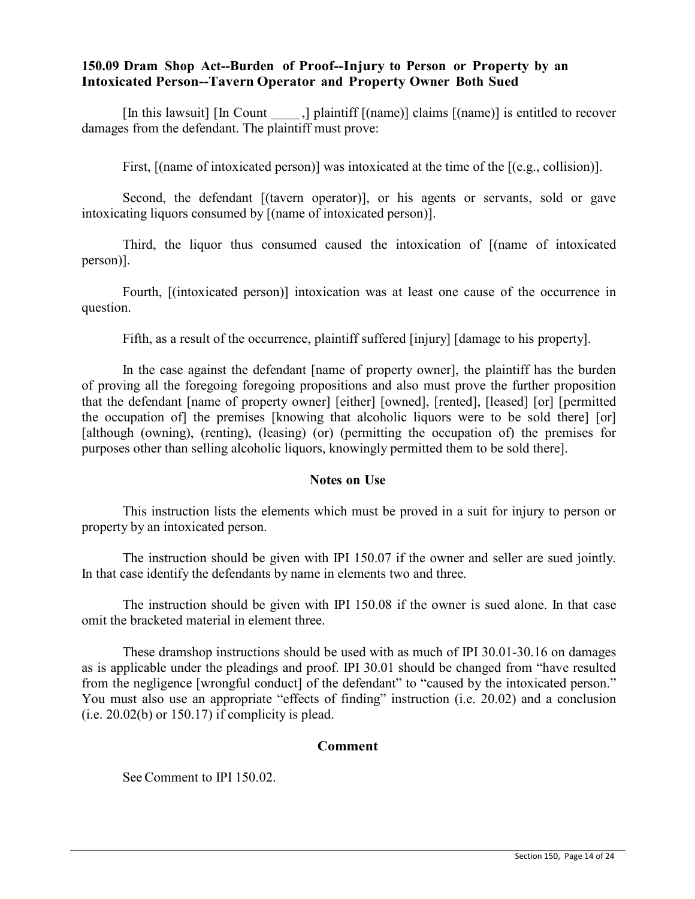## **150.09 Dram Shop Act--Burden of Proof--Injury to Person or Property by an Intoxicated Person--Tavern Operator and Property Owner Both Sued**

[In this lawsuit] [In Count  $\qquad$ ] plaintiff  $[(name)]$  claims  $[(name)]$  is entitled to recover damages from the defendant. The plaintiff must prove:

First,  $[$ (name of intoxicated person) $]$  was intoxicated at the time of the  $[$ (e.g., collision) $]$ .

Second, the defendant [(tavern operator)], or his agents or servants, sold or gave intoxicating liquors consumed by [(name of intoxicated person)].

Third, the liquor thus consumed caused the intoxication of [(name of intoxicated person)].

Fourth, [(intoxicated person)] intoxication was at least one cause of the occurrence in question.

Fifth, as a result of the occurrence, plaintiff suffered [injury] [damage to his property].

In the case against the defendant [name of property owner], the plaintiff has the burden of proving all the foregoing foregoing propositions and also must prove the further proposition that the defendant [name of property owner] [either] [owned], [rented], [leased] [or] [permitted the occupation of] the premises [knowing that alcoholic liquors were to be sold there] [or] [although (owning), (renting), (leasing) (or) (permitting the occupation of) the premises for purposes other than selling alcoholic liquors, knowingly permitted them to be sold there].

## **Notes on Use**

This instruction lists the elements which must be proved in a suit for injury to person or property by an intoxicated person.

The instruction should be given with IPI 150.07 if the owner and seller are sued jointly. In that case identify the defendants by name in elements two and three.

The instruction should be given with IPI 150.08 if the owner is sued alone. In that case omit the bracketed material in element three.

These dramshop instructions should be used with as much of IPI 30.01-30.16 on damages as is applicable under the pleadings and proof. IPI 30.01 should be changed from "have resulted from the negligence [wrongful conduct] of the defendant" to "caused by the intoxicated person." You must also use an appropriate "effects of finding" instruction (i.e. 20.02) and a conclusion  $(i.e. 20.02(b)$  or 150.17) if complicity is plead.

## **Comment**

See Comment to IPI 150.02.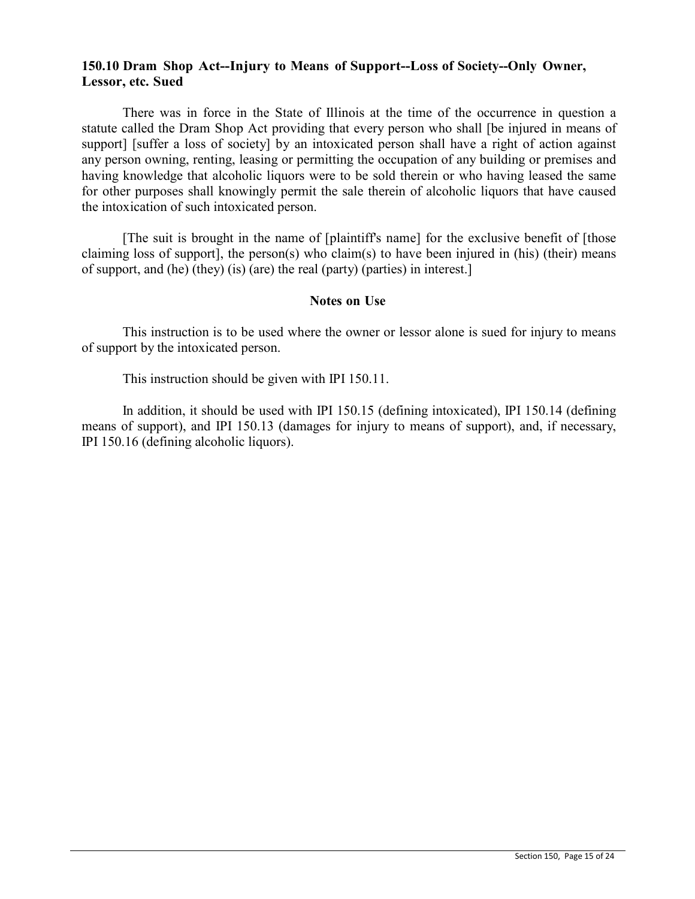## **150.10 Dram Shop Act--Injury to Means of Support--Loss of Society--Only Owner, Lessor, etc. Sued**

There was in force in the State of Illinois at the time of the occurrence in question a statute called the Dram Shop Act providing that every person who shall [be injured in means of support] [suffer a loss of society] by an intoxicated person shall have a right of action against any person owning, renting, leasing or permitting the occupation of any building or premises and having knowledge that alcoholic liquors were to be sold therein or who having leased the same for other purposes shall knowingly permit the sale therein of alcoholic liquors that have caused the intoxication of such intoxicated person.

[The suit is brought in the name of [plaintiff's name] for the exclusive benefit of [those claiming loss of support], the person(s) who claim(s) to have been injured in (his) (their) means of support, and (he) (they) (is) (are) the real (party) (parties) in interest.]

#### **Notes on Use**

This instruction is to be used where the owner or lessor alone is sued for injury to means of support by the intoxicated person.

This instruction should be given with IPI 150.11.

In addition, it should be used with IPI 150.15 (defining intoxicated), IPI 150.14 (defining means of support), and IPI 150.13 (damages for injury to means of support), and, if necessary, IPI 150.16 (defining alcoholic liquors).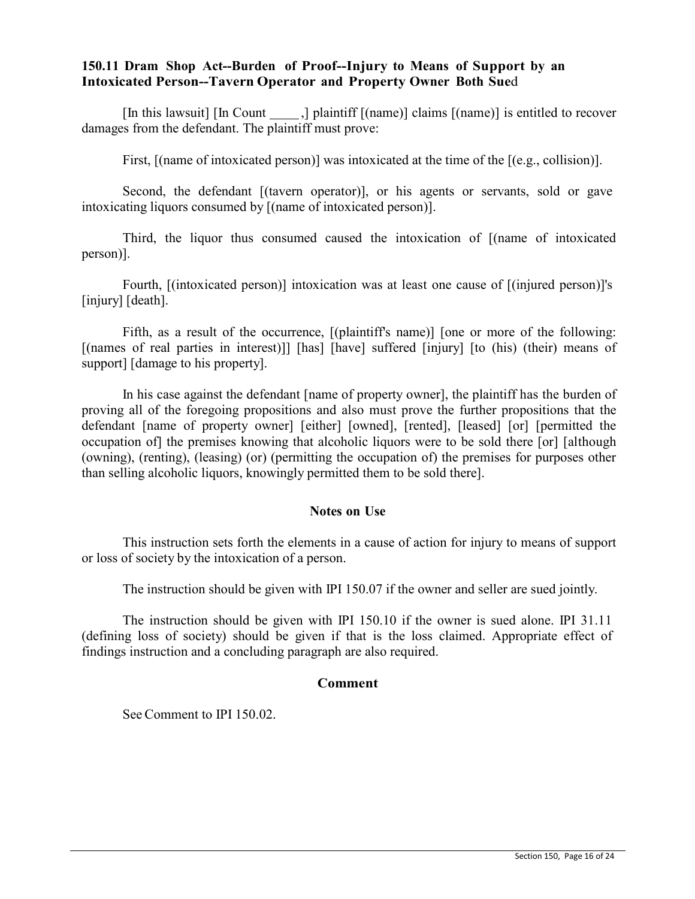## **150.11 Dram Shop Act--Burden of Proof--Injury to Means of Support by an Intoxicated Person--Tavern Operator and Property Owner Both Sue**d

[In this lawsuit] [In Count  $\qquad$ ], plaintiff  $[(name)]$  claims  $[(name)]$  is entitled to recover damages from the defendant. The plaintiff must prove:

First, [(name of intoxicated person)] was intoxicated at the time of the [(e.g., collision)].

Second, the defendant [(tavern operator)], or his agents or servants, sold or gave intoxicating liquors consumed by [(name of intoxicated person)].

Third, the liquor thus consumed caused the intoxication of [(name of intoxicated person)].

Fourth, [(intoxicated person)] intoxication was at least one cause of [(injured person)]'s [injury] [death].

Fifth, as a result of the occurrence, [(plaintiff's name)] [one or more of the following: [(names of real parties in interest)]] [has] [have] suffered [injury] [to (his) (their) means of support] [damage to his property].

In his case against the defendant [name of property owner], the plaintiff has the burden of proving all of the foregoing propositions and also must prove the further propositions that the defendant [name of property owner] [either] [owned], [rented], [leased] [or] [permitted the occupation of] the premises knowing that alcoholic liquors were to be sold there [or] [although (owning), (renting), (leasing) (or) (permitting the occupation of) the premises for purposes other than selling alcoholic liquors, knowingly permitted them to be sold there].

## **Notes on Use**

This instruction sets forth the elements in a cause of action for injury to means of support or loss of society by the intoxication of a person.

The instruction should be given with IPI 150.07 if the owner and seller are sued jointly.

The instruction should be given with IPI 150.10 if the owner is sued alone. IPI 31.11 (defining loss of society) should be given if that is the loss claimed. Appropriate effect of findings instruction and a concluding paragraph are also required.

## **Comment**

See Comment to IPI 150.02.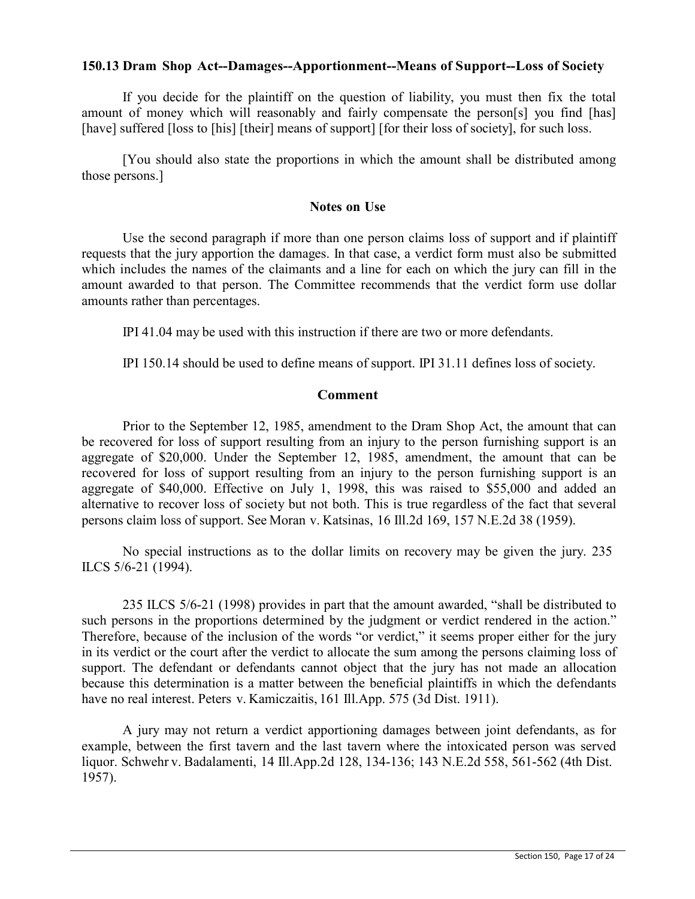## **150.13 Dram Shop Act--Damages--Apportionment--Means of Support--Loss of Society**

If you decide for the plaintiff on the question of liability, you must then fix the total amount of money which will reasonably and fairly compensate the person[s] you find [has] [have] suffered [loss to [his] [their] means of support] [for their loss of society], for such loss.

[You should also state the proportions in which the amount shall be distributed among those persons.]

#### **Notes on Use**

Use the second paragraph if more than one person claims loss of support and if plaintiff requests that the jury apportion the damages. In that case, a verdict form must also be submitted which includes the names of the claimants and a line for each on which the jury can fill in the amount awarded to that person. The Committee recommends that the verdict form use dollar amounts rather than percentages.

IPI 41.04 may be used with this instruction if there are two or more defendants.

IPI 150.14 should be used to define means of support. IPI 31.11 defines loss of society.

#### **Comment**

Prior to the September 12, 1985, amendment to the Dram Shop Act, the amount that can be recovered for loss of support resulting from an injury to the person furnishing support is an aggregate of \$20,000. Under the September 12, 1985, amendment, the amount that can be recovered for loss of support resulting from an injury to the person furnishing support is an aggregate of \$40,000. Effective on July 1, 1998, this was raised to \$55,000 and added an alternative to recover loss of society but not both. This is true regardless of the fact that several persons claim loss of support. See Moran v. Katsinas, 16 Ill.2d 169, 157 N.E.2d 38 (1959).

No special instructions as to the dollar limits on recovery may be given the jury. 235 ILCS 5/6-21 (1994).

235 ILCS 5/6-21 (1998) provides in part that the amount awarded, "shall be distributed to such persons in the proportions determined by the judgment or verdict rendered in the action." Therefore, because of the inclusion of the words "or verdict," it seems proper either for the jury in its verdict or the court after the verdict to allocate the sum among the persons claiming loss of support. The defendant or defendants cannot object that the jury has not made an allocation because this determination is a matter between the beneficial plaintiffs in which the defendants have no real interest. Peters v. Kamiczaitis, 161 Ill.App. 575 (3d Dist. 1911).

A jury may not return a verdict apportioning damages between joint defendants, as for example, between the first tavern and the last tavern where the intoxicated person was served liquor. Schwehr v. Badalamenti, 14 Ill.App.2d 128, 134-136; 143 N.E.2d 558, 561-562 (4th Dist. 1957).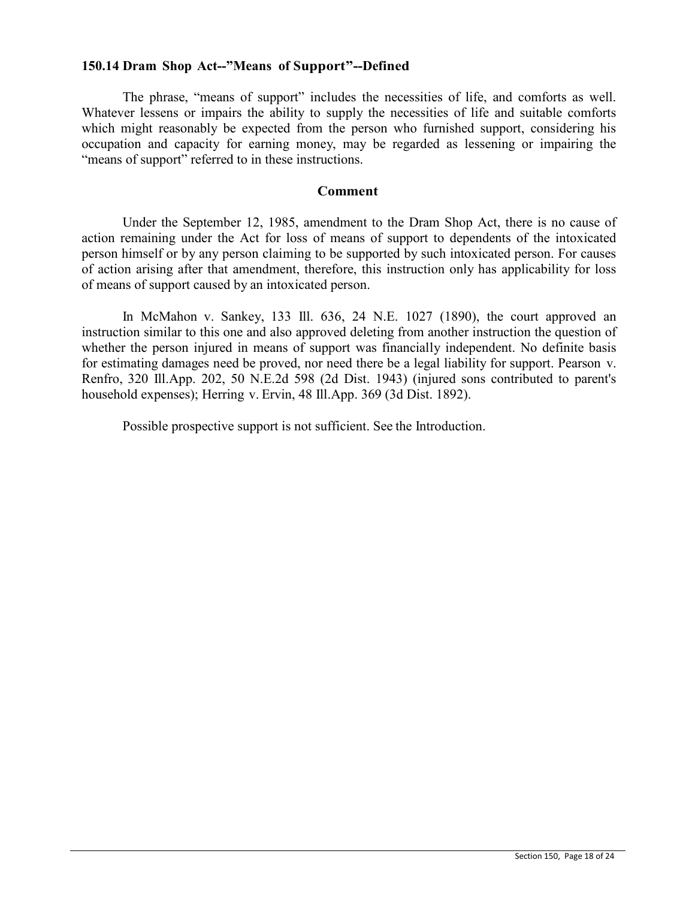#### **150.14 Dram Shop Act--"Means of Support"--Defined**

The phrase, "means of support" includes the necessities of life, and comforts as well. Whatever lessens or impairs the ability to supply the necessities of life and suitable comforts which might reasonably be expected from the person who furnished support, considering his occupation and capacity for earning money, may be regarded as lessening or impairing the "means of support" referred to in these instructions.

#### **Comment**

Under the September 12, 1985, amendment to the Dram Shop Act, there is no cause of action remaining under the Act for loss of means of support to dependents of the intoxicated person himself or by any person claiming to be supported by such intoxicated person. For causes of action arising after that amendment, therefore, this instruction only has applicability for loss of means of support caused by an intoxicated person.

In McMahon v. Sankey, 133 Ill. 636, 24 N.E. 1027 (1890), the court approved an instruction similar to this one and also approved deleting from another instruction the question of whether the person injured in means of support was financially independent. No definite basis for estimating damages need be proved, nor need there be a legal liability for support. Pearson v. Renfro, 320 Ill.App. 202, 50 N.E.2d 598 (2d Dist. 1943) (injured sons contributed to parent's household expenses); Herring v. Ervin, 48 Ill.App. 369 (3d Dist. 1892).

Possible prospective support is not sufficient. See the Introduction.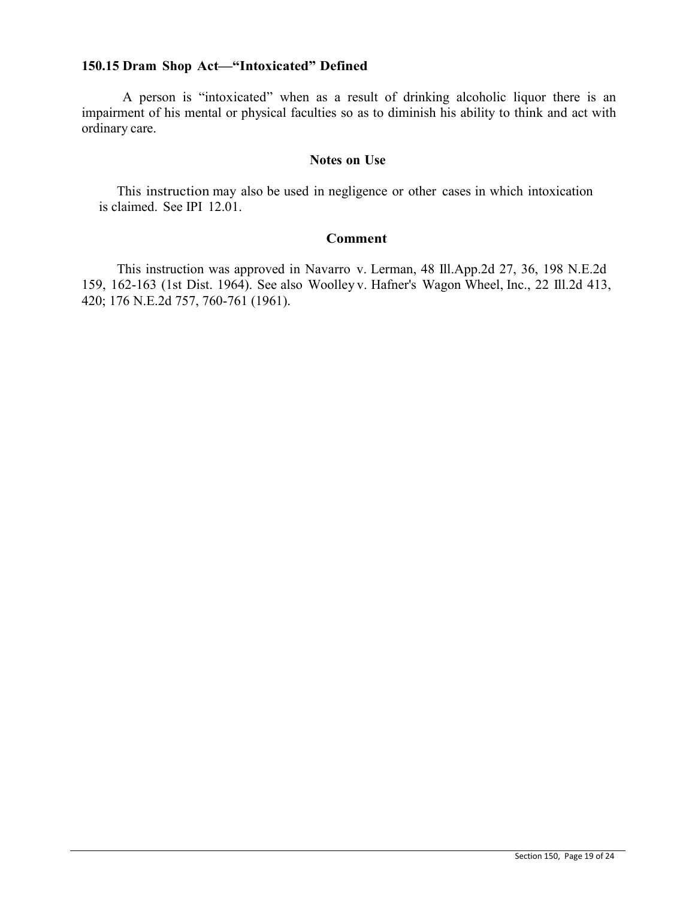## **150.15 Dram Shop Act—"Intoxicated" Defined**

A person is "intoxicated" when as a result of drinking alcoholic liquor there is an impairment of his mental or physical faculties so as to diminish his ability to think and act with ordinary care.

#### **Notes on Use**

This instruction may also be used in negligence or other cases in which intoxication is claimed. See IPI 12.01.

## **Comment**

This instruction was approved in Navarro v. Lerman, 48 Ill.App.2d 27, 36, 198 N.E.2d 159, 162-163 (1st Dist. 1964). See also Woolley v. Hafner's Wagon Wheel, Inc., 22 Ill.2d 413, 420; 176 N.E.2d 757, 760-761 (1961).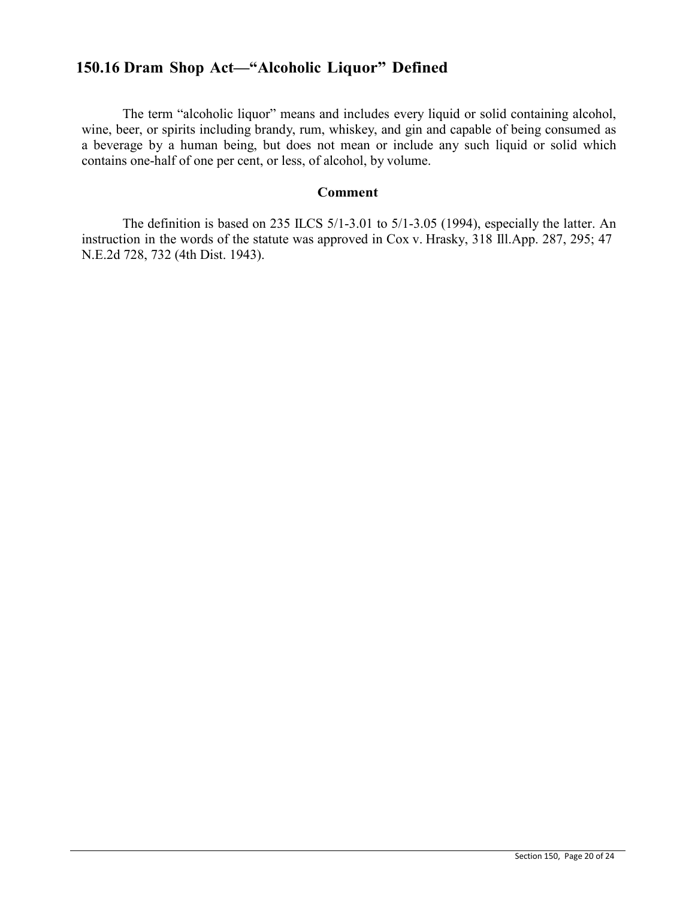# **150.16 Dram Shop Act—"Alcoholic Liquor" Defined**

The term "alcoholic liquor" means and includes every liquid or solid containing alcohol, wine, beer, or spirits including brandy, rum, whiskey, and gin and capable of being consumed as a beverage by a human being, but does not mean or include any such liquid or solid which contains one-half of one per cent, or less, of alcohol, by volume.

#### **Comment**

The definition is based on 235 ILCS 5/1-3.01 to 5/1-3.05 (1994), especially the latter. An instruction in the words of the statute was approved in Cox v. Hrasky, 318 Ill.App. 287, 295; 47 N.E.2d 728, 732 (4th Dist. 1943).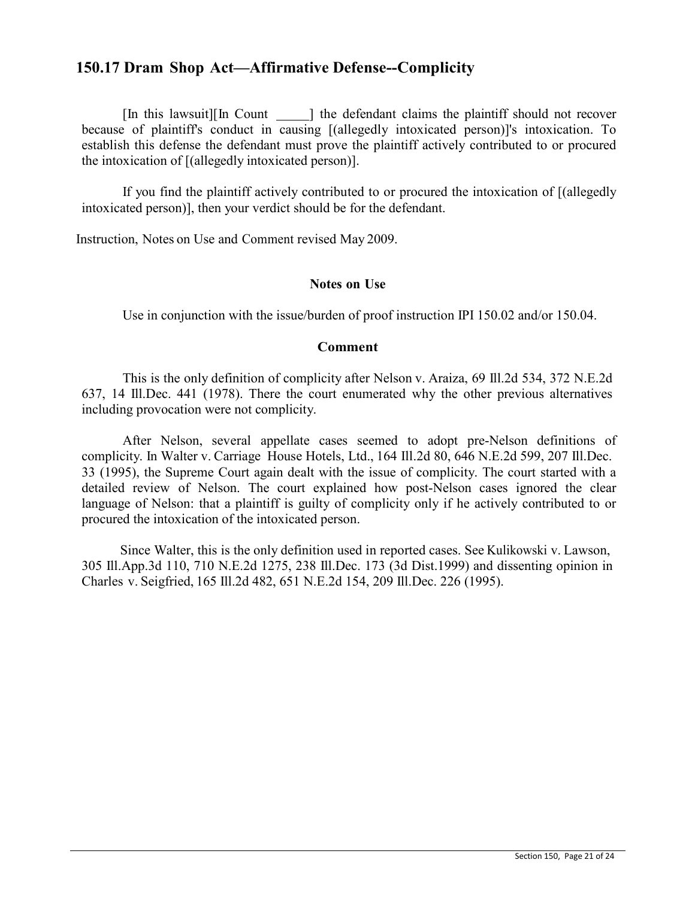# **150.17 Dram Shop Act—Affirmative Defense--Complicity**

[In this lawsuit][In Count \_\_\_\_\_] the defendant claims the plaintiff should not recover because of plaintiff's conduct in causing [(allegedly intoxicated person)]'s intoxication. To establish this defense the defendant must prove the plaintiff actively contributed to or procured the intoxication of [(allegedly intoxicated person)].

If you find the plaintiff actively contributed to or procured the intoxication of [(allegedly intoxicated person)], then your verdict should be for the defendant.

Instruction, Notes on Use and Comment revised May 2009.

## **Notes on Use**

Use in conjunction with the issue/burden of proof instruction IPI 150.02 and/or 150.04.

## **Comment**

This is the only definition of complicity after Nelson v. Araiza, 69 Ill.2d 534, 372 N.E.2d 637, 14 Ill.Dec. 441 (1978). There the court enumerated why the other previous alternatives including provocation were not complicity.

After Nelson, several appellate cases seemed to adopt pre-Nelson definitions of complicity. In Walter v. Carriage House Hotels, Ltd., 164 Ill.2d 80, 646 N.E.2d 599, 207 Ill.Dec. 33 (1995), the Supreme Court again dealt with the issue of complicity. The court started with a detailed review of Nelson. The court explained how post-Nelson cases ignored the clear language of Nelson: that a plaintiff is guilty of complicity only if he actively contributed to or procured the intoxication of the intoxicated person.

Since Walter, this is the only definition used in reported cases. See Kulikowski v. Lawson, 305 Ill.App.3d 110, 710 N.E.2d 1275, 238 Ill.Dec. 173 (3d Dist.1999) and dissenting opinion in Charles v. Seigfried, 165 Ill.2d 482, 651 N.E.2d 154, 209 Ill.Dec. 226 (1995).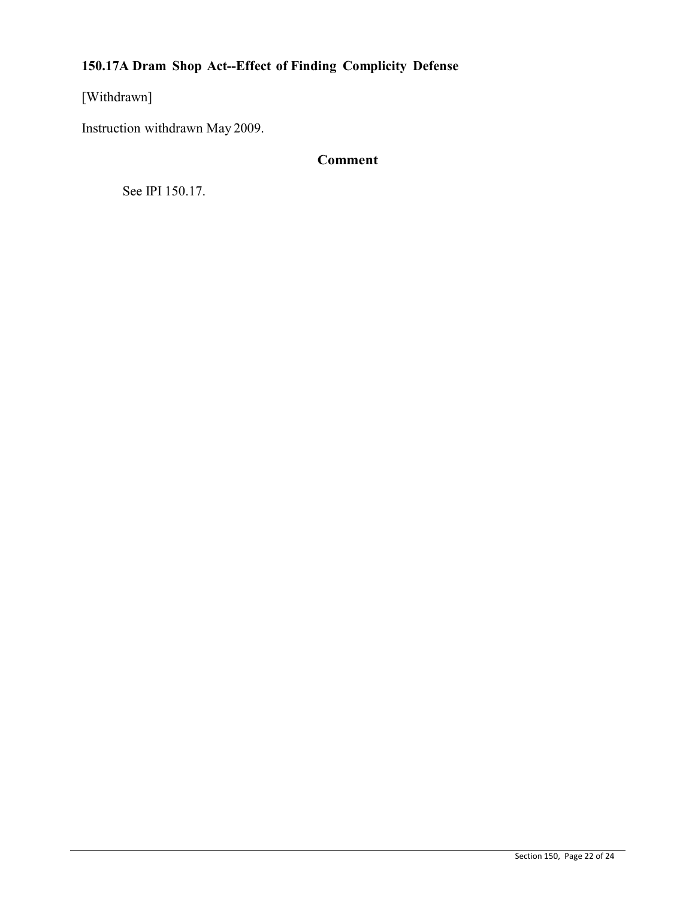# **150.17A Dram Shop Act--Effect of Finding Complicity Defense**

# [Withdrawn]

Instruction withdrawn May 2009.

# **Comment**

See IPI 150.17.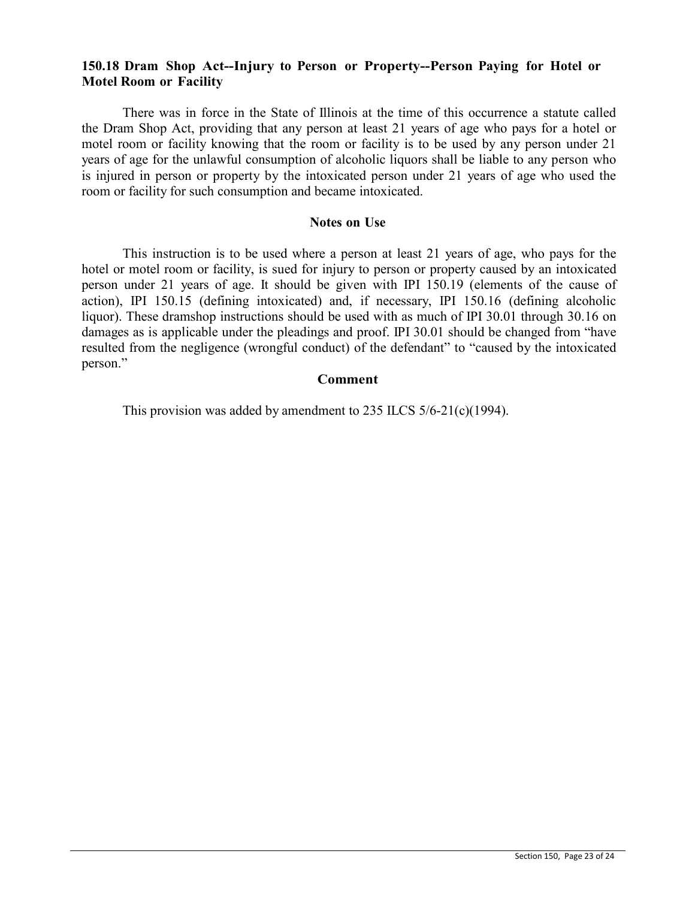## **150.18 Dram Shop Act--Injury to Person or Property--Person Paying for Hotel or Motel Room or Facility**

There was in force in the State of Illinois at the time of this occurrence a statute called the Dram Shop Act, providing that any person at least 21 years of age who pays for a hotel or motel room or facility knowing that the room or facility is to be used by any person under 21 years of age for the unlawful consumption of alcoholic liquors shall be liable to any person who is injured in person or property by the intoxicated person under 21 years of age who used the room or facility for such consumption and became intoxicated.

#### **Notes on Use**

This instruction is to be used where a person at least 21 years of age, who pays for the hotel or motel room or facility, is sued for injury to person or property caused by an intoxicated person under 21 years of age. It should be given with IPI 150.19 (elements of the cause of action), IPI 150.15 (defining intoxicated) and, if necessary, IPI 150.16 (defining alcoholic liquor). These dramshop instructions should be used with as much of IPI 30.01 through 30.16 on damages as is applicable under the pleadings and proof. IPI 30.01 should be changed from "have resulted from the negligence (wrongful conduct) of the defendant" to "caused by the intoxicated person."

#### **Comment**

This provision was added by amendment to 235 ILCS 5/6-21(c)(1994).